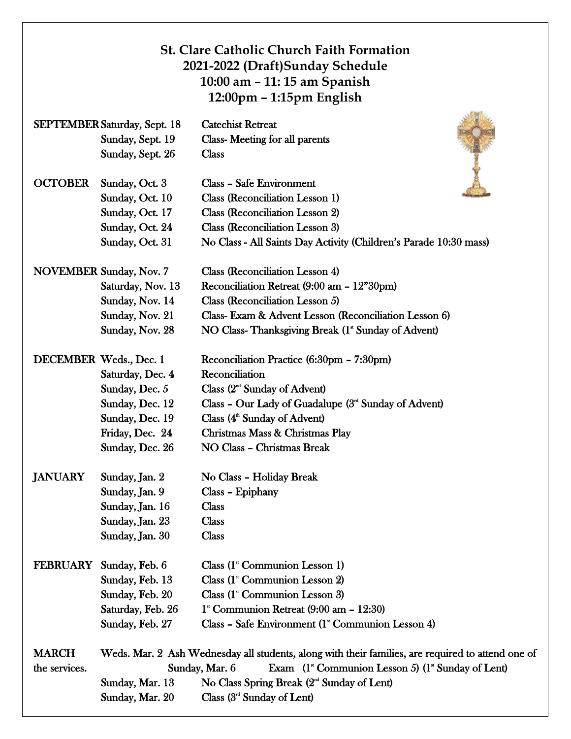|                                     |                                | <b>St. Clare Catholic Church Faith Formation</b><br>2021-2022 (Draft)Sunday Schedule<br>10:00 am - 11:15 am Spanish<br>12:00pm – 1:15pm English |
|-------------------------------------|--------------------------------|-------------------------------------------------------------------------------------------------------------------------------------------------|
| <b>SEPTEMBER Saturday, Sept. 18</b> |                                | <b>Catechist Retreat</b>                                                                                                                        |
|                                     | Sunday, Sept. 19               | Class-Meeting for all parents                                                                                                                   |
|                                     | Sunday, Sept. 26               | <b>Class</b>                                                                                                                                    |
| <b>OCTOBER</b>                      | Sunday, Oct. 3                 | <b>Class - Safe Environment</b>                                                                                                                 |
|                                     | Sunday, Oct. 10                | Class (Reconciliation Lesson 1)                                                                                                                 |
|                                     | Sunday, Oct. 17                | <b>Class (Reconciliation Lesson 2)</b>                                                                                                          |
|                                     | Sunday, Oct. 24                | Class (Reconciliation Lesson 3)                                                                                                                 |
|                                     | Sunday, Oct. 31                | No Class - All Saints Day Activity (Children's Parade 10:30 mass)                                                                               |
|                                     | <b>NOVEMBER Sunday, Nov. 7</b> | <b>Class (Reconciliation Lesson 4)</b>                                                                                                          |
|                                     | Saturday, Nov. 13              | Reconciliation Retreat (9:00 am - 12"30pm)                                                                                                      |
|                                     | Sunday, Nov. 14                | Class (Reconciliation Lesson 5)                                                                                                                 |
|                                     | Sunday, Nov. 21                | Class-Exam & Advent Lesson (Reconciliation Lesson 6)                                                                                            |
|                                     | Sunday, Nov. 28                | NO Class-Thanksgiving Break (1" Sunday of Advent)                                                                                               |
| DECEMBER Weds., Dec. 1              |                                | Reconciliation Practice (6:30pm – 7:30pm)                                                                                                       |
|                                     | Saturday, Dec. 4               | Reconciliation                                                                                                                                  |
|                                     | Sunday, Dec. 5                 | Class $(2nd$ Sunday of Advent)                                                                                                                  |
|                                     | Sunday, Dec. 12                | Class – Our Lady of Guadalupe $(3nd$ Sunday of Advent)                                                                                          |
|                                     | Sunday, Dec. 19                | Class (4 <sup>th</sup> Sunday of Advent)                                                                                                        |
|                                     | Friday, Dec. 24                | Christmas Mass & Christmas Play                                                                                                                 |
|                                     | Sunday, Dec. 26                | <b>NO Class - Christmas Break</b>                                                                                                               |
| <b>JANUARY</b>                      | Sunday, Jan. 2                 | No Class - Holiday Break                                                                                                                        |
|                                     | Sunday, Jan. 9                 | Class - Epiphany                                                                                                                                |
|                                     | Sunday, Jan. 16                | Class                                                                                                                                           |
|                                     | Sunday, Jan. 23                | <b>Class</b>                                                                                                                                    |
|                                     | Sunday, Jan. 30                | <b>Class</b>                                                                                                                                    |
| <b>FEBRUARY</b>                     | Sunday, Feb. 6                 | Class (1 <sup>*</sup> Communion Lesson 1)                                                                                                       |
|                                     | Sunday, Feb. 13                | Class (1 <sup>*</sup> Communion Lesson 2)                                                                                                       |
|                                     | Sunday, Feb. 20                | Class (1 <sup>*</sup> Communion Lesson 3)                                                                                                       |
|                                     | Saturday, Feb. 26              | $1^{\circ}$ Communion Retreat (9:00 am - 12:30)                                                                                                 |
|                                     | Sunday, Feb. 27                | Class - Safe Environment (1 <sup>*</sup> Communion Lesson 4)                                                                                    |
| <b>MARCH</b>                        |                                | Weds. Mar. 2 Ash Wednesday all students, along with their families, are required to attend one of                                               |
| the services.                       |                                | Exam (1 <sup>*</sup> Communion Lesson 5) (1 <sup>*</sup> Sunday of Lent)<br>Sunday, Mar. 6                                                      |
|                                     | Sunday, Mar. 13                | No Class Spring Break $(2nd$ Sunday of Lent)                                                                                                    |
|                                     | Sunday, Mar. 20                | Class $(3rd$ Sunday of Lent)                                                                                                                    |